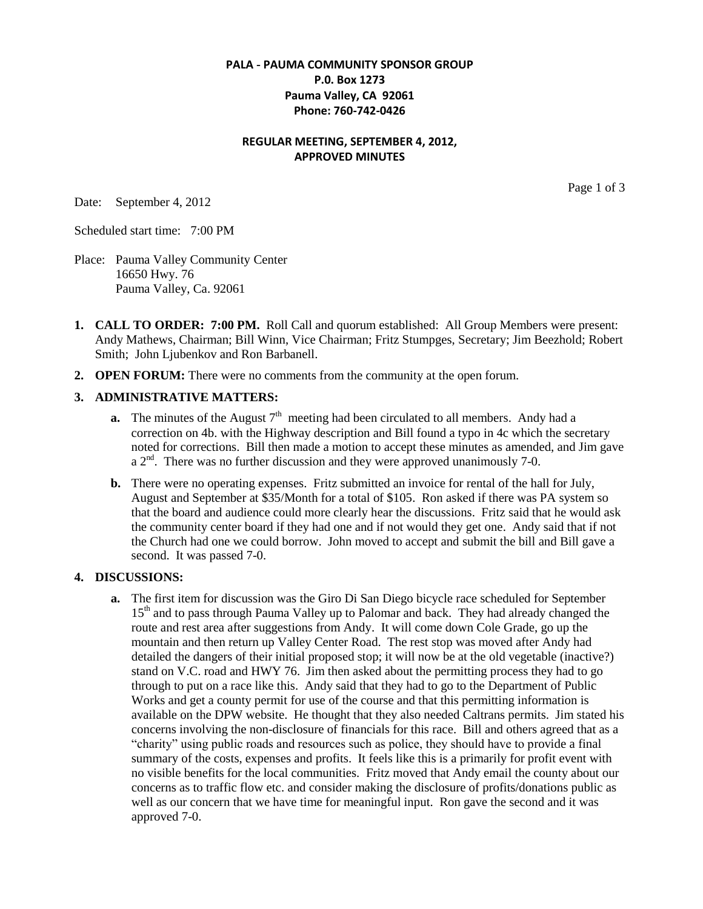### **PALA - PAUMA COMMUNITY SPONSOR GROUP P.0. Box 1273 Pauma Valley, CA 92061 Phone: 760-742-0426**

### **REGULAR MEETING, SEPTEMBER 4, 2012, APPROVED MINUTES**

Date: September 4, 2012

Page 1 of 3

Scheduled start time: 7:00 PM

Place: Pauma Valley Community Center 16650 Hwy. 76 Pauma Valley, Ca. 92061

- **1. CALL TO ORDER: 7:00 PM.** Roll Call and quorum established: All Group Members were present: Andy Mathews, Chairman; Bill Winn, Vice Chairman; Fritz Stumpges, Secretary; Jim Beezhold; Robert Smith; John Ljubenkov and Ron Barbanell.
- **2. OPEN FORUM:** There were no comments from the community at the open forum.

#### **3. ADMINISTRATIVE MATTERS:**

- **a.** The minutes of the August  $7<sup>th</sup>$  meeting had been circulated to all members. Andy had a correction on 4b. with the Highway description and Bill found a typo in 4c which the secretary noted for corrections. Bill then made a motion to accept these minutes as amended, and Jim gave  $a 2<sup>nd</sup>$ . There was no further discussion and they were approved unanimously 7-0.
- **b.** There were no operating expenses. Fritz submitted an invoice for rental of the hall for July, August and September at \$35/Month for a total of \$105. Ron asked if there was PA system so that the board and audience could more clearly hear the discussions. Fritz said that he would ask the community center board if they had one and if not would they get one. Andy said that if not the Church had one we could borrow. John moved to accept and submit the bill and Bill gave a second. It was passed 7-0.

#### **4. DISCUSSIONS:**

**a.** The first item for discussion was the Giro Di San Diego bicycle race scheduled for September 15<sup>th</sup> and to pass through Pauma Valley up to Palomar and back. They had already changed the route and rest area after suggestions from Andy. It will come down Cole Grade, go up the mountain and then return up Valley Center Road. The rest stop was moved after Andy had detailed the dangers of their initial proposed stop; it will now be at the old vegetable (inactive?) stand on V.C. road and HWY 76. Jim then asked about the permitting process they had to go through to put on a race like this. Andy said that they had to go to the Department of Public Works and get a county permit for use of the course and that this permitting information is available on the DPW website. He thought that they also needed Caltrans permits. Jim stated his concerns involving the non-disclosure of financials for this race. Bill and others agreed that as a "charity" using public roads and resources such as police, they should have to provide a final summary of the costs, expenses and profits. It feels like this is a primarily for profit event with no visible benefits for the local communities. Fritz moved that Andy email the county about our concerns as to traffic flow etc. and consider making the disclosure of profits/donations public as well as our concern that we have time for meaningful input. Ron gave the second and it was approved 7-0.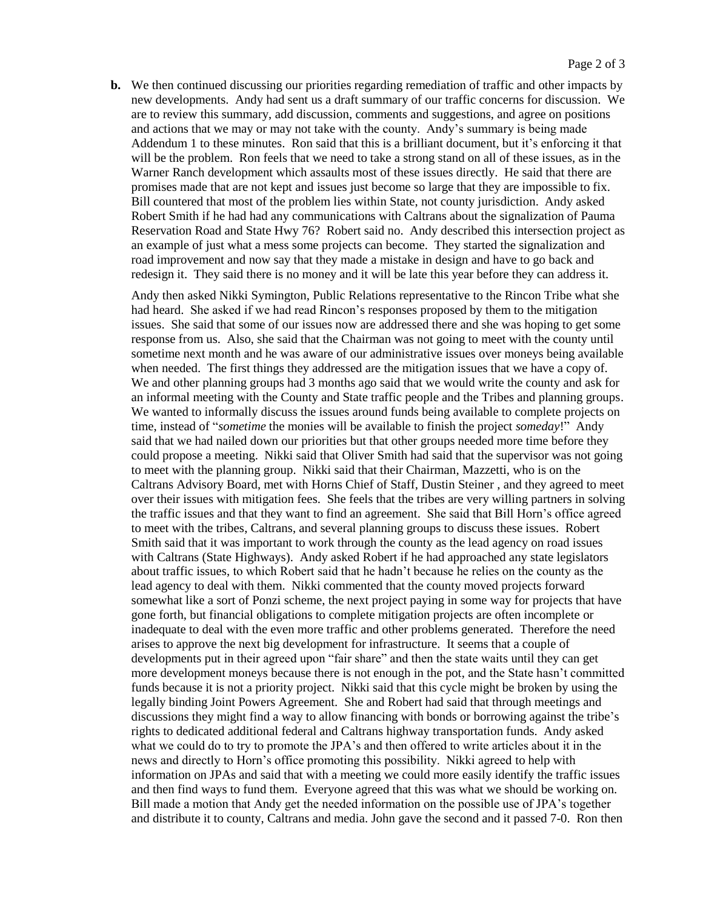**b.** We then continued discussing our priorities regarding remediation of traffic and other impacts by new developments. Andy had sent us a draft summary of our traffic concerns for discussion. We are to review this summary, add discussion, comments and suggestions, and agree on positions and actions that we may or may not take with the county. Andy's summary is being made Addendum 1 to these minutes. Ron said that this is a brilliant document, but it's enforcing it that will be the problem. Ron feels that we need to take a strong stand on all of these issues, as in the Warner Ranch development which assaults most of these issues directly. He said that there are promises made that are not kept and issues just become so large that they are impossible to fix. Bill countered that most of the problem lies within State, not county jurisdiction. Andy asked Robert Smith if he had had any communications with Caltrans about the signalization of Pauma Reservation Road and State Hwy 76? Robert said no. Andy described this intersection project as an example of just what a mess some projects can become. They started the signalization and road improvement and now say that they made a mistake in design and have to go back and redesign it. They said there is no money and it will be late this year before they can address it.

Andy then asked Nikki Symington, Public Relations representative to the Rincon Tribe what she had heard. She asked if we had read Rincon's responses proposed by them to the mitigation issues. She said that some of our issues now are addressed there and she was hoping to get some response from us. Also, she said that the Chairman was not going to meet with the county until sometime next month and he was aware of our administrative issues over moneys being available when needed. The first things they addressed are the mitigation issues that we have a copy of. We and other planning groups had 3 months ago said that we would write the county and ask for an informal meeting with the County and State traffic people and the Tribes and planning groups. We wanted to informally discuss the issues around funds being available to complete projects on time, instead of "*sometime* the monies will be available to finish the project *someday*!" Andy said that we had nailed down our priorities but that other groups needed more time before they could propose a meeting. Nikki said that Oliver Smith had said that the supervisor was not going to meet with the planning group. Nikki said that their Chairman, Mazzetti, who is on the Caltrans Advisory Board, met with Horns Chief of Staff, Dustin Steiner , and they agreed to meet over their issues with mitigation fees. She feels that the tribes are very willing partners in solving the traffic issues and that they want to find an agreement. She said that Bill Horn's office agreed to meet with the tribes, Caltrans, and several planning groups to discuss these issues. Robert Smith said that it was important to work through the county as the lead agency on road issues with Caltrans (State Highways). Andy asked Robert if he had approached any state legislators about traffic issues, to which Robert said that he hadn't because he relies on the county as the lead agency to deal with them. Nikki commented that the county moved projects forward somewhat like a sort of Ponzi scheme, the next project paying in some way for projects that have gone forth, but financial obligations to complete mitigation projects are often incomplete or inadequate to deal with the even more traffic and other problems generated. Therefore the need arises to approve the next big development for infrastructure. It seems that a couple of developments put in their agreed upon "fair share" and then the state waits until they can get more development moneys because there is not enough in the pot, and the State hasn't committed funds because it is not a priority project. Nikki said that this cycle might be broken by using the legally binding Joint Powers Agreement. She and Robert had said that through meetings and discussions they might find a way to allow financing with bonds or borrowing against the tribe's rights to dedicated additional federal and Caltrans highway transportation funds. Andy asked what we could do to try to promote the JPA's and then offered to write articles about it in the news and directly to Horn's office promoting this possibility. Nikki agreed to help with information on JPAs and said that with a meeting we could more easily identify the traffic issues and then find ways to fund them. Everyone agreed that this was what we should be working on. Bill made a motion that Andy get the needed information on the possible use of JPA's together and distribute it to county, Caltrans and media. John gave the second and it passed 7-0. Ron then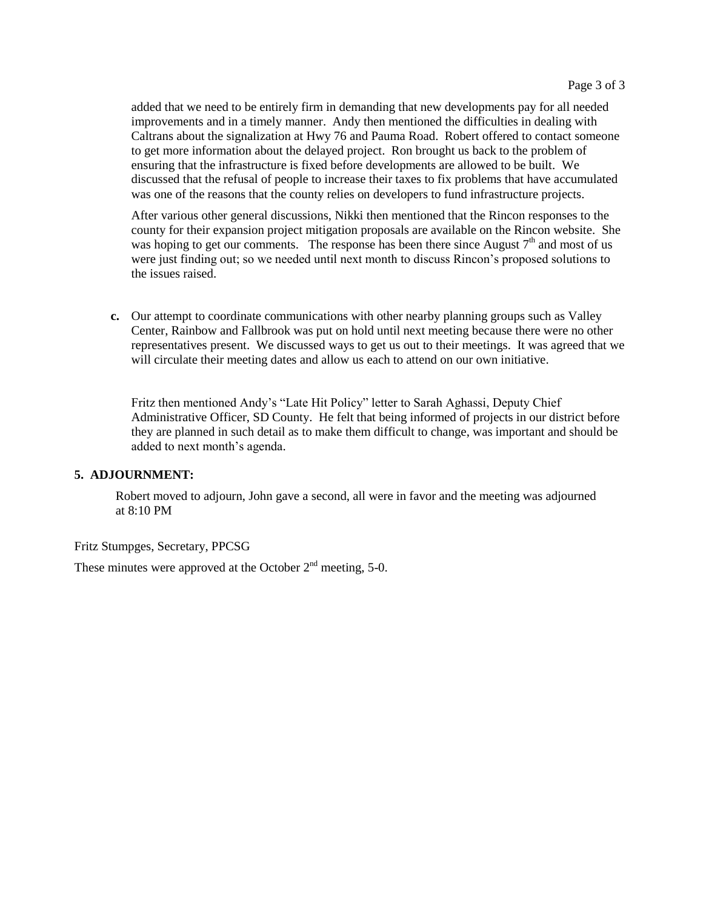added that we need to be entirely firm in demanding that new developments pay for all needed improvements and in a timely manner. Andy then mentioned the difficulties in dealing with Caltrans about the signalization at Hwy 76 and Pauma Road. Robert offered to contact someone to get more information about the delayed project. Ron brought us back to the problem of ensuring that the infrastructure is fixed before developments are allowed to be built. We discussed that the refusal of people to increase their taxes to fix problems that have accumulated was one of the reasons that the county relies on developers to fund infrastructure projects.

After various other general discussions, Nikki then mentioned that the Rincon responses to the county for their expansion project mitigation proposals are available on the Rincon website. She was hoping to get our comments. The response has been there since August  $7<sup>th</sup>$  and most of us were just finding out; so we needed until next month to discuss Rincon's proposed solutions to the issues raised.

**c.** Our attempt to coordinate communications with other nearby planning groups such as Valley Center, Rainbow and Fallbrook was put on hold until next meeting because there were no other representatives present. We discussed ways to get us out to their meetings. It was agreed that we will circulate their meeting dates and allow us each to attend on our own initiative.

Fritz then mentioned Andy's "Late Hit Policy" letter to Sarah Aghassi, Deputy Chief Administrative Officer, SD County. He felt that being informed of projects in our district before they are planned in such detail as to make them difficult to change, was important and should be added to next month's agenda.

#### **5. ADJOURNMENT:**

Robert moved to adjourn, John gave a second, all were in favor and the meeting was adjourned at 8:10 PM

#### Fritz Stumpges, Secretary, PPCSG

These minutes were approved at the October  $2<sup>nd</sup>$  meeting, 5-0.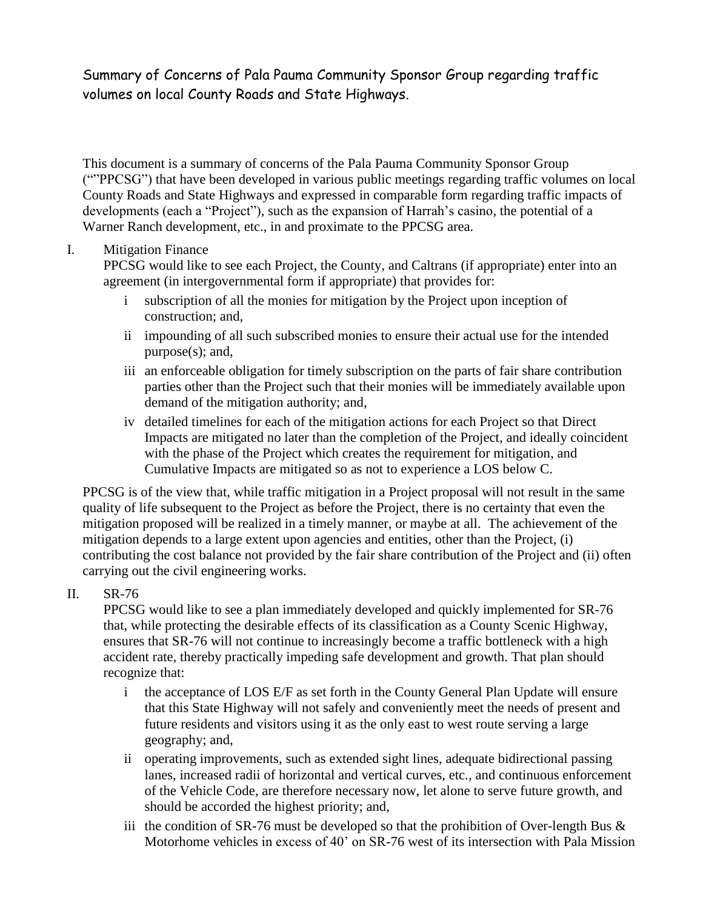# Summary of Concerns of Pala Pauma Community Sponsor Group regarding traffic volumes on local County Roads and State Highways.

This document is a summary of concerns of the Pala Pauma Community Sponsor Group (""PPCSG") that have been developed in various public meetings regarding traffic volumes on local County Roads and State Highways and expressed in comparable form regarding traffic impacts of developments (each a "Project"), such as the expansion of Harrah's casino, the potential of a Warner Ranch development, etc., in and proximate to the PPCSG area.

## I. Mitigation Finance

PPCSG would like to see each Project, the County, and Caltrans (if appropriate) enter into an agreement (in intergovernmental form if appropriate) that provides for:

- i subscription of all the monies for mitigation by the Project upon inception of construction; and,
- ii impounding of all such subscribed monies to ensure their actual use for the intended purpose(s); and,
- iii an enforceable obligation for timely subscription on the parts of fair share contribution parties other than the Project such that their monies will be immediately available upon demand of the mitigation authority; and,
- iv detailed timelines for each of the mitigation actions for each Project so that Direct Impacts are mitigated no later than the completion of the Project, and ideally coincident with the phase of the Project which creates the requirement for mitigation, and Cumulative Impacts are mitigated so as not to experience a LOS below C.

PPCSG is of the view that, while traffic mitigation in a Project proposal will not result in the same quality of life subsequent to the Project as before the Project, there is no certainty that even the mitigation proposed will be realized in a timely manner, or maybe at all. The achievement of the mitigation depends to a large extent upon agencies and entities, other than the Project, (i) contributing the cost balance not provided by the fair share contribution of the Project and (ii) often carrying out the civil engineering works.

## II. SR-76

PPCSG would like to see a plan immediately developed and quickly implemented for SR-76 that, while protecting the desirable effects of its classification as a County Scenic Highway, ensures that SR-76 will not continue to increasingly become a traffic bottleneck with a high accident rate, thereby practically impeding safe development and growth. That plan should recognize that:

- i the acceptance of LOS E/F as set forth in the County General Plan Update will ensure that this State Highway will not safely and conveniently meet the needs of present and future residents and visitors using it as the only east to west route serving a large geography; and,
- ii operating improvements, such as extended sight lines, adequate bidirectional passing lanes, increased radii of horizontal and vertical curves, etc., and continuous enforcement of the Vehicle Code, are therefore necessary now, let alone to serve future growth, and should be accorded the highest priority; and,
- iii the condition of SR-76 must be developed so that the prohibition of Over-length Bus  $\&$ Motorhome vehicles in excess of 40' on SR-76 west of its intersection with Pala Mission